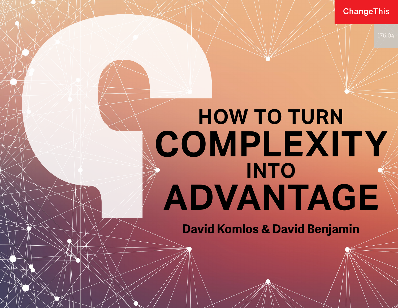**ChangeThis** 

# **HOW TO TURN COMPLEXITY INTO ADVANTAGE**

**David Komlos & David Benjamin**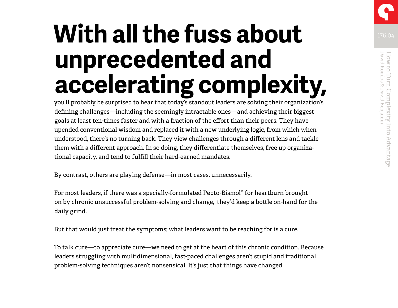## **With all the fuss about MITELER unprecedented and accelerating complexity,**

you'll probably be surprised to hear that today's standout leaders are solving their organization's defining challenges—including the seemingly intractable ones—and achieving their biggest goals at least ten-times faster and with a fraction of the effort than their peers. They have upended conventional wisdom and replaced it with a new underlying logic, from which when understood, there's no turning back. They view challenges through a different lens and tackle them with a different approach. In so doing, they differentiate themselves, free up organizational capacity, and tend to fulfill their hard-earned mandates.

By contrast, others are playing defense—in most cases, unnecessarily.

For most leaders, if there was a specially-formulated Pepto-Bismol® for heartburn brought on by chronic unsuccessful problem-solving and change, they'd keep a bottle on-hand for the daily grind.

But that would just treat the symptoms; what leaders want to be reaching for is a cure.

To talk cure—to appreciate cure—we need to get at the heart of this chronic condition. Because leaders struggling with multidimensional, fast-paced challenges aren't stupid and traditional problem-solving techniques aren't nonsensical. It's just that things have changed.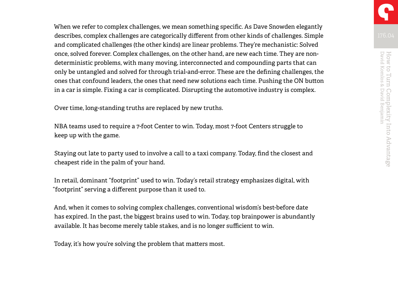When we refer to complex challenges, we mean something specific. As Dave Snowden elegantly describes, complex challenges are categorically different from other kinds of challenges. Simple and complicated challenges (the other kinds) are linear problems. They're mechanistic: Solved once, solved forever. Complex challenges, on the other hand, are new each time. They are nondeterministic problems, with many moving, interconnected and compounding parts that can only be untangled and solved for through trial-and-error. These are the defining challenges, the ones that confound leaders, the ones that need new solutions each time. Pushing the ON button in a car is simple. Fixing a car is complicated. Disrupting the automotive industry is complex.

Over time, long-standing truths are replaced by new truths.

NBA teams used to require a 7-foot Center to win. Today, most 7-foot Centers struggle to keep up with the game.

Staying out late to party used to involve a call to a taxi company. Today, find the closest and cheapest ride in the palm of your hand.

In retail, dominant "footprint" used to win. Today's retail strategy emphasizes digital, with "footprint" serving a different purpose than it used to.

And, when it comes to solving complex challenges, conventional wisdom's best-before date has expired. In the past, the biggest brains used to win. Today, top brainpower is abundantly available. It has become merely table stakes, and is no longer sufficient to win.

Today, it's how you're solving the problem that matters most.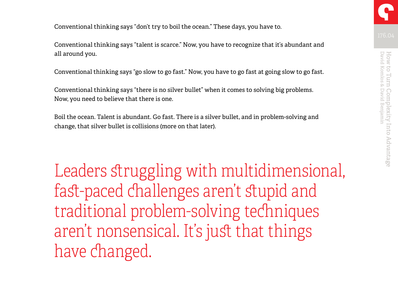Conventional thinking says "don't try to boil the ocean." These days, you have to.

Conventional thinking says "talent is scarce." Now, you have to recognize that it's abundant and all around you.

Conventional thinking says "go slow to go fast." Now, you have to go fast at going slow to go fast.

Conventional thinking says "there is no silver bullet" when it comes to solving big problems. Now, you need to believe that there is one.

Boil the ocean. Talent is abundant. Go fast. There is a silver bullet, and in problem-solving and change, that silver bullet is collisions (more on that later).

Leaders struggling with multidimensional, fast-paced challenges aren't stupid and traditional problem-solving techniques aren't nonsensical. It's just that things have changed.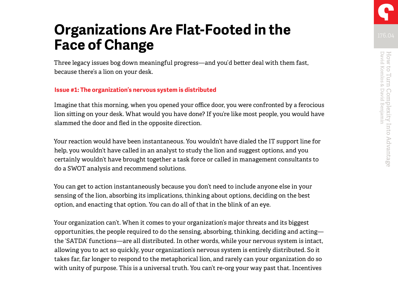## **Organizations Are Flat-Footed in the Face of Change**

Three legacy issues bog down meaningful progress—and you'd better deal with them fast, because there's a lion on your desk.

#### **Issue #1: The organization's nervous system is distributed**

Imagine that this morning, when you opened your office door, you were confronted by a ferocious lion sitting on your desk. What would you have done? If you're like most people, you would have slammed the door and fled in the opposite direction.

Your reaction would have been instantaneous. You wouldn't have dialed the IT support line for help, you wouldn't have called in an analyst to study the lion and suggest options, and you certainly wouldn't have brought together a task force or called in management consultants to do a SWOT analysis and recommend solutions.

You can get to action instantaneously because you don't need to include anyone else in your sensing of the lion, absorbing its implications, thinking about options, deciding on the best option, and enacting that option. You can do all of that in the blink of an eye.

Your organization can't. When it comes to your organization's major threats and its biggest opportunities, the people required to do the sensing, absorbing, thinking, deciding and acting the 'SATDA' functions—are all distributed. In other words, while your nervous system is intact, allowing you to act so quickly, your organization's nervous system is entirely distributed. So it takes far, far longer to respond to the metaphorical lion, and rarely can your organization do so with unity of purpose. This is a universal truth. You can't re-org your way past that. Incentives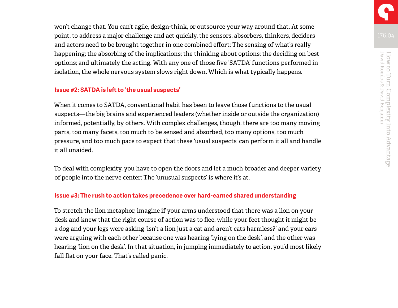won't change that. You can't agile, design-think, or outsource your way around that. At some point, to address a major challenge and act quickly, the sensors, absorbers, thinkers, deciders and actors need to be brought together in one combined effort: The sensing of what's really happening; the absorbing of the implications; the thinking about options; the deciding on best options; and ultimately the acting. With any one of those five 'SATDA' functions performed in isolation, the whole nervous system slows right down. Which is what typically happens.

#### **Issue #2: SATDA is left to 'the usual suspects'**

When it comes to SATDA, conventional habit has been to leave those functions to the usual suspects—the big brains and experienced leaders (whether inside or outside the organization) informed, potentially, by others. With complex challenges, though, there are too many moving parts, too many facets, too much to be sensed and absorbed, too many options, too much pressure, and too much pace to expect that these 'usual suspects' can perform it all and handle it all unaided.

To deal with complexity, you have to open the doors and let a much broader and deeper variety of people into the nerve center: The 'unusual suspects' is where it's at.

#### **Issue #3: The rush to action takes precedence over hard-earned shared understanding**

To stretch the lion metaphor, imagine if your arms understood that there was a lion on your desk and knew that the right course of action was to flee, while your feet thought it might be a dog and your legs were asking 'isn't a lion just a cat and aren't cats harmless?' and your ears were arguing with each other because one was hearing 'lying on the desk', and the other was hearing 'lion on the desk'. In that situation, in jumping immediately to action, you'd most likely fall flat on your face. That's called panic.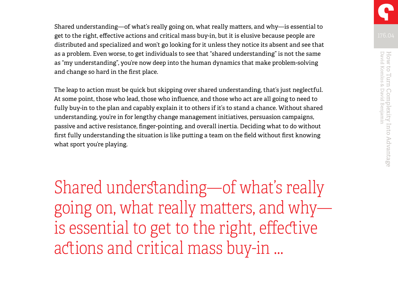Shared understanding—of what's really going on, what really matters, and why—is essential to get to the right, effective actions and critical mass buy-in, but it is elusive because people are distributed and specialized and won't go looking for it unless they notice its absent and see that as a problem. Even worse, to get individuals to see that "shared understanding" is not the same as "my understanding", you're now deep into the human dynamics that make problem-solving and change so hard in the first place.

The leap to action must be quick but skipping over shared understanding, that's just neglectful. At some point, those who lead, those who influence, and those who act are all going to need to fully buy-in to the plan and capably explain it to others if it's to stand a chance. Without shared understanding, you're in for lengthy change management initiatives, persuasion campaigns, passive and active resistance, finger-pointing, and overall inertia. Deciding what to do without first fully understanding the situation is like putting a team on the field without first knowing what sport you're playing.

Shared understanding—of what's really going on, what really matters, and why is essential to get to the right, effective actions and critical mass buy-in …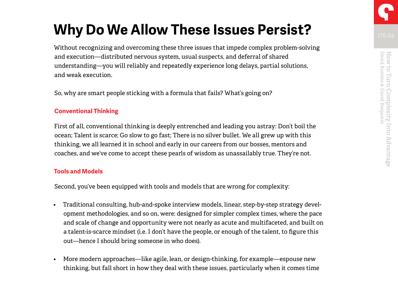### **Why Do We Allow These Issues Persist?**

Without recognizing and overcoming these three issues that impede complex problem-solving and execution—distributed nervous system, usual suspects, and deferral of shared understanding—you will reliably and repeatedly experience long delays, partial solutions, and weak execution.

So, why are smart people sticking with a formula that fails? What's going on?

#### **Conventional Thinking**

First of all, conventional thinking is deeply entrenched and leading you astray: Don't boil the ocean; Talent is scarce; Go slow to go fast; There is no silver bullet. We all grew up with this thinking, we all learned it in school and early in our careers from our bosses, mentors and coaches, and we've come to accept these pearls of wisdom as unassailably true. They're not.

#### **Tools and Models**

Second, you've been equipped with tools and models that are wrong for complexity:

- Traditional consulting, hub-and-spoke interview models, linear, step-by-step strategy development methodologies, and so on, were: designed for simpler complex times, where the pace and scale of change and opportunity were not nearly as acute and multifaceted, and built on a talent-is-scarce mindset (i.e. I don't have the people, or enough of the talent, to figure this out—hence I should bring someone in who does).
- More modern approaches—like agile, lean, or design-thinking, for example—espouse new thinking, but fall short in how they deal with these issues, particularly when it comes time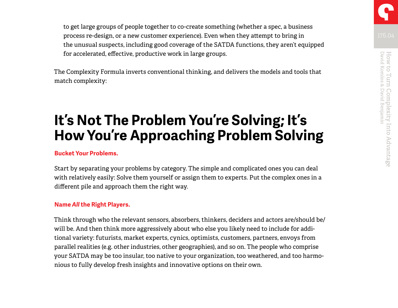to get large groups of people together to co-create something (whether a spec, a business process re-design, or a new customer experience). Even when they attempt to bring in the unusual suspects, including good coverage of the SATDA functions, they aren't equipped for accelerated, effective, productive work in large groups.

The Complexity Formula inverts conventional thinking, and delivers the models and tools that match complexity:

### **It's Not The Problem You're Solving; It's How You're Approaching Problem Solving**

#### **Bucket Your Problems.**

Start by separating your problems by category. The simple and complicated ones you can deal with relatively easily: Solve them yourself or assign them to experts. Put the complex ones in a different pile and approach them the right way.

#### **Name** *All* **the Right Players.**

Think through who the relevant sensors, absorbers, thinkers, deciders and actors are/should be/ will be. And then think more aggressively about who else you likely need to include for additional variety: futurists, market experts, cynics, optimists, customers, partners, envoys from parallel realities (e.g. other industries, other geographies), and so on. The people who comprise your SATDA may be too insular, too native to your organization, too weathered, and too harmonious to fully develop fresh insights and innovative options on their own.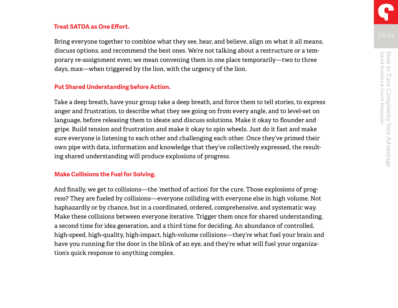#### **Treat SATDA as One Effort.**

Bring everyone together to combine what they see, hear, and believe, align on what it all means, discuss options, and recommend the best ones. We're not talking about a restructure or a temporary re-assignment even; we mean convening them in one place temporarily—two to three days, max—when triggered by the lion, with the urgency of the lion.

#### **Put Shared Understanding before Action.**

Take a deep breath, have your group take a deep breath, and force them to tell stories, to express anger and frustration, to describe what they see going on from every angle, and to level-set on language, before releasing them to ideate and discuss solutions. Make it okay to flounder and gripe. Build tension and frustration and make it okay to spin wheels. Just do it fast and make sure everyone is listening to each other and challenging each other. Once they've primed their own pipe with data, information and knowledge that they've collectively expressed, the resulting shared understanding will produce explosions of progress.

#### **Make Collisions the Fuel for Solving.**

And finally, we get to collisions—the 'method of action' for the cure. Those explosions of progress? They are fueled by collisions—everyone colliding with everyone else in high volume. Not haphazardly or by chance, but in a coordinated, ordered, comprehensive, and systematic way. Make these collisions between everyone iterative. Trigger them once for shared understanding, a second time for idea generation, and a third time for deciding. An abundance of controlled, high-speed, high-quality, high-impact, high-volume collisions—they're what fuel your brain and have you running for the door in the blink of an eye, and they're what will fuel your organization's quick response to anything complex.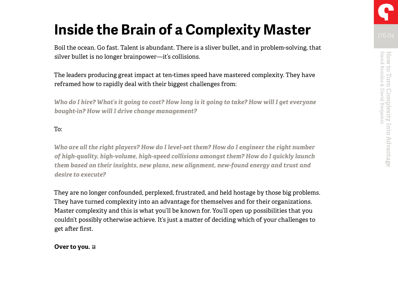## **Inside the Brain of a Complexity Master**

Boil the ocean. Go fast. Talent is abundant. There is a sliver bullet, and in problem-solving, that silver bullet is no longer brainpower—it's collisions.

The leaders producing great impact at ten-times speed have mastered complexity. They have reframed how to rapidly deal with their biggest challenges from:

*Who do I hire? What's it going to cost? How long is it going to take? How will I get everyone bought-in? How will I drive change management?* 

To:

*Who are all the right players? How do I level-set them? How do I engineer the right number of high-quality, high-volume, high-speed collisions amongst them? How do I quickly launch them based on their insights, new plans, new alignment, new-found energy and trust and desire to execute?* 

They are no longer confounded, perplexed, frustrated, and held hostage by those big problems. They have turned complexity into an advantage for themselves and for their organizations. Master complexity and this is what you'll be known for. You'll open up possibilities that you couldn't possibly otherwise achieve. It's just a matter of deciding which of your challenges to get after first.

**Over to you.**